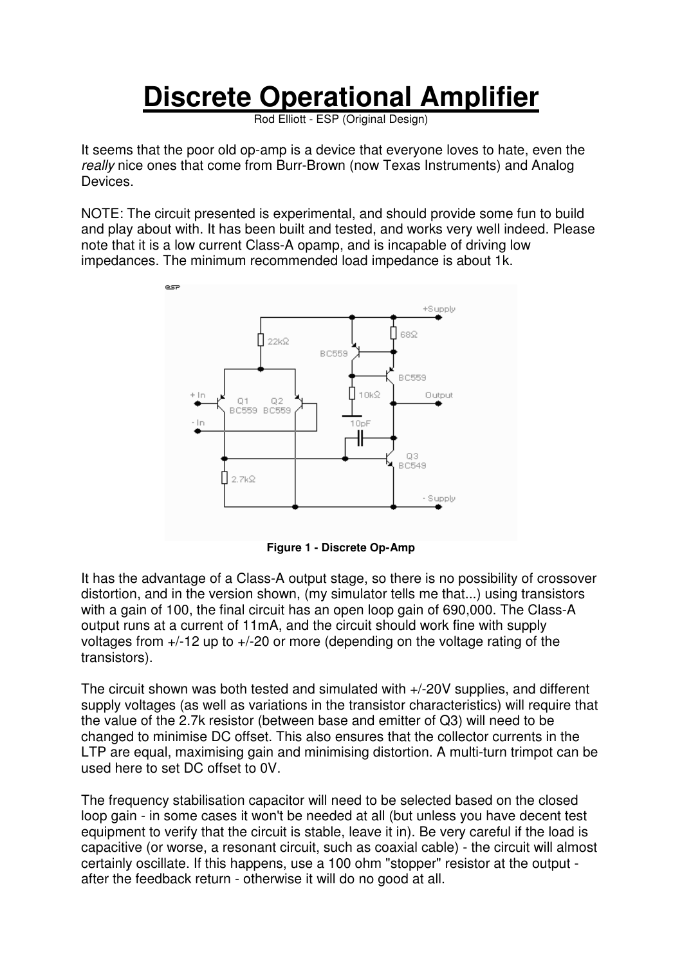## **Discrete Operational Amplifier**

Rod Elliott - ESP (Original Design)

It seems that the poor old op-amp is a device that everyone loves to hate, even the really nice ones that come from Burr-Brown (now Texas Instruments) and Analog Devices.

NOTE: The circuit presented is experimental, and should provide some fun to build and play about with. It has been built and tested, and works very well indeed. Please note that it is a low current Class-A opamp, and is incapable of driving low impedances. The minimum recommended load impedance is about 1k.



**Figure 1 - Discrete Op-Amp**

It has the advantage of a Class-A output stage, so there is no possibility of crossover distortion, and in the version shown, (my simulator tells me that...) using transistors with a gain of 100, the final circuit has an open loop gain of 690,000. The Class-A output runs at a current of 11mA, and the circuit should work fine with supply voltages from +/-12 up to +/-20 or more (depending on the voltage rating of the transistors).

The circuit shown was both tested and simulated with +/-20V supplies, and different supply voltages (as well as variations in the transistor characteristics) will require that the value of the 2.7k resistor (between base and emitter of Q3) will need to be changed to minimise DC offset. This also ensures that the collector currents in the LTP are equal, maximising gain and minimising distortion. A multi-turn trimpot can be used here to set DC offset to 0V.

The frequency stabilisation capacitor will need to be selected based on the closed loop gain - in some cases it won't be needed at all (but unless you have decent test equipment to verify that the circuit is stable, leave it in). Be very careful if the load is capacitive (or worse, a resonant circuit, such as coaxial cable) - the circuit will almost certainly oscillate. If this happens, use a 100 ohm "stopper" resistor at the output after the feedback return - otherwise it will do no good at all.